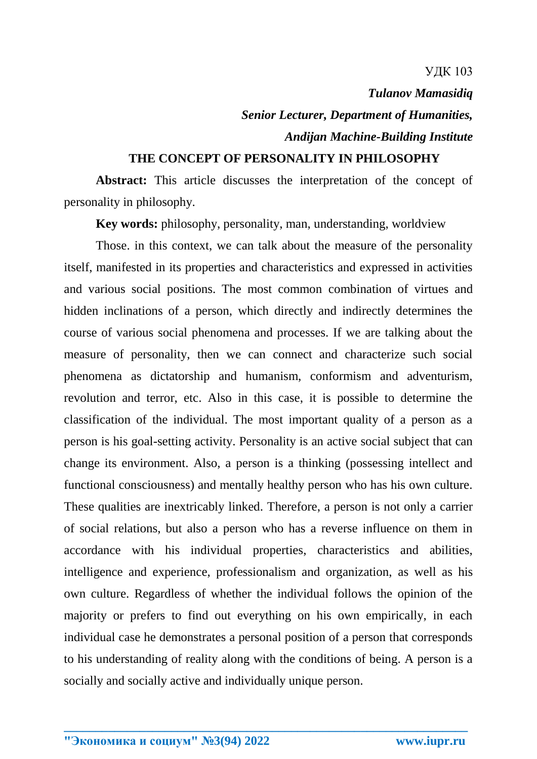## УДК 103

*Tulanov Mamasidiq Senior Lecturer, Department of Humanities, Andijan Machine-Building Institute*

## **THE CONCEPT OF PERSONALITY IN PHILOSOPHY**

**Abstract:** This article discusses the interpretation of the concept of personality in philosophy.

**Key words:** philosophy, personality, man, understanding, worldview

Those. in this context, we can talk about the measure of the personality itself, manifested in its properties and characteristics and expressed in activities and various social positions. The most common combination of virtues and hidden inclinations of a person, which directly and indirectly determines the course of various social phenomena and processes. If we are talking about the measure of personality, then we can connect and characterize such social phenomena as dictatorship and humanism, conformism and adventurism, revolution and terror, etc. Also in this case, it is possible to determine the classification of the individual. The most important quality of a person as a person is his goal-setting activity. Personality is an active social subject that can change its environment. Also, a person is a thinking (possessing intellect and functional consciousness) and mentally healthy person who has his own culture. These qualities are inextricably linked. Therefore, a person is not only a carrier of social relations, but also a person who has a reverse influence on them in accordance with his individual properties, characteristics and abilities, intelligence and experience, professionalism and organization, as well as his own culture. Regardless of whether the individual follows the opinion of the majority or prefers to find out everything on his own empirically, in each individual case he demonstrates a personal position of a person that corresponds to his understanding of reality along with the conditions of being. A person is a socially and socially active and individually unique person.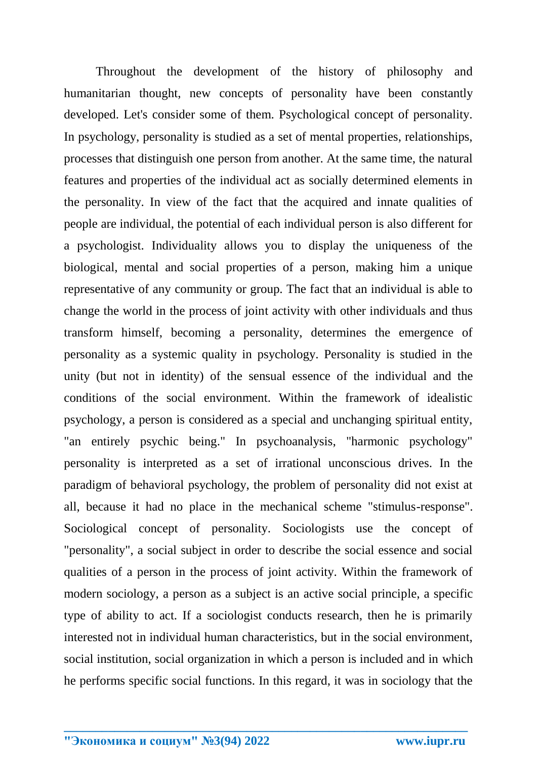Throughout the development of the history of philosophy and humanitarian thought, new concepts of personality have been constantly developed. Let's consider some of them. Psychological concept of personality. In psychology, personality is studied as a set of mental properties, relationships, processes that distinguish one person from another. At the same time, the natural features and properties of the individual act as socially determined elements in the personality. In view of the fact that the acquired and innate qualities of people are individual, the potential of each individual person is also different for a psychologist. Individuality allows you to display the uniqueness of the biological, mental and social properties of a person, making him a unique representative of any community or group. The fact that an individual is able to change the world in the process of joint activity with other individuals and thus transform himself, becoming a personality, determines the emergence of personality as a systemic quality in psychology. Personality is studied in the unity (but not in identity) of the sensual essence of the individual and the conditions of the social environment. Within the framework of idealistic psychology, a person is considered as a special and unchanging spiritual entity, "an entirely psychic being." In psychoanalysis, "harmonic psychology" personality is interpreted as a set of irrational unconscious drives. In the paradigm of behavioral psychology, the problem of personality did not exist at all, because it had no place in the mechanical scheme "stimulus-response". Sociological concept of personality. Sociologists use the concept of "personality", a social subject in order to describe the social essence and social qualities of a person in the process of joint activity. Within the framework of modern sociology, a person as a subject is an active social principle, a specific type of ability to act. If a sociologist conducts research, then he is primarily interested not in individual human characteristics, but in the social environment, social institution, social organization in which a person is included and in which he performs specific social functions. In this regard, it was in sociology that the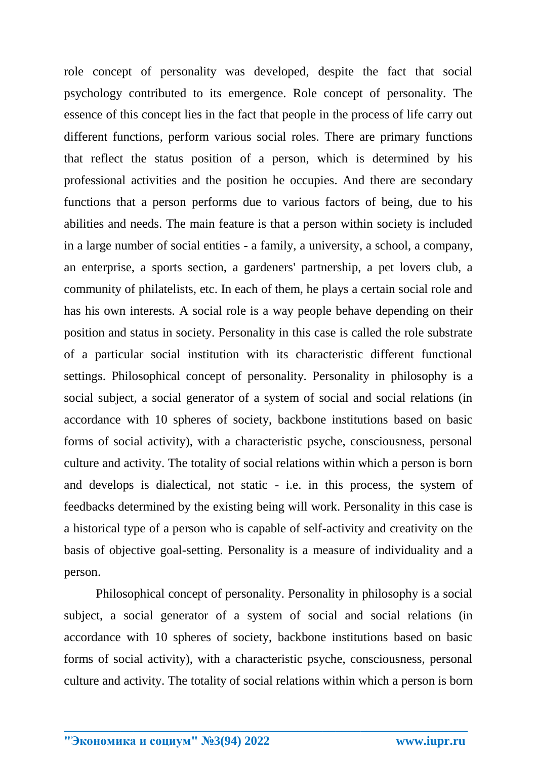role concept of personality was developed, despite the fact that social psychology contributed to its emergence. Role concept of personality. The essence of this concept lies in the fact that people in the process of life carry out different functions, perform various social roles. There are primary functions that reflect the status position of a person, which is determined by his professional activities and the position he occupies. And there are secondary functions that a person performs due to various factors of being, due to his abilities and needs. The main feature is that a person within society is included in a large number of social entities - a family, a university, a school, a company, an enterprise, a sports section, a gardeners' partnership, a pet lovers club, a community of philatelists, etc. In each of them, he plays a certain social role and has his own interests. A social role is a way people behave depending on their position and status in society. Personality in this case is called the role substrate of a particular social institution with its characteristic different functional settings. Philosophical concept of personality. Personality in philosophy is a social subject, a social generator of a system of social and social relations (in accordance with 10 spheres of society, backbone institutions based on basic forms of social activity), with a characteristic psyche, consciousness, personal culture and activity. The totality of social relations within which a person is born and develops is dialectical, not static - i.e. in this process, the system of feedbacks determined by the existing being will work. Personality in this case is a historical type of a person who is capable of self-activity and creativity on the basis of objective goal-setting. Personality is a measure of individuality and a person.

Philosophical concept of personality. Personality in philosophy is a social subject, a social generator of a system of social and social relations (in accordance with 10 spheres of society, backbone institutions based on basic forms of social activity), with a characteristic psyche, consciousness, personal culture and activity. The totality of social relations within which a person is born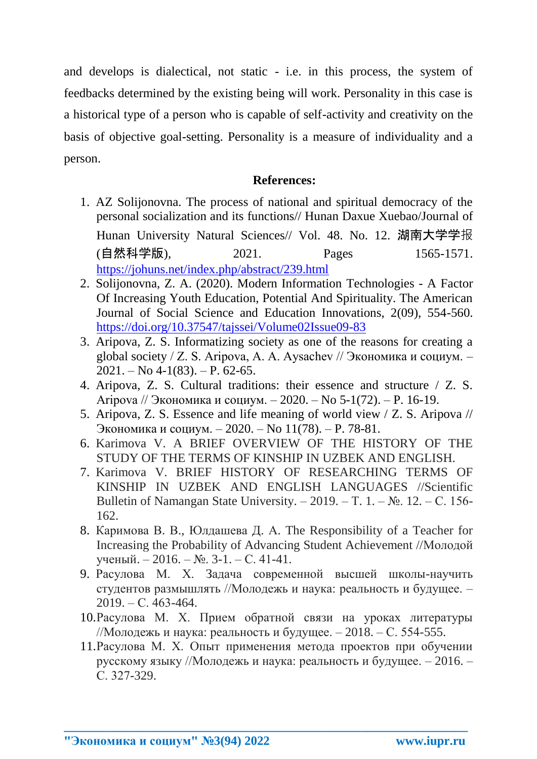and develops is dialectical, not static - i.e. in this process, the system of feedbacks determined by the existing being will work. Personality in this case is a historical type of a person who is capable of self-activity and creativity on the basis of objective goal-setting. Personality is a measure of individuality and a person.

## **References:**

- 1. AZ Solijonovna. The process of national and spiritual democracy of the personal socialization and its functions// Hunan Daxue Xuebao/Journal of Hunan University Natural Sciences// Vol. 48. No. 12. 湖南大学学报 (自然科学版), 2021. Pages 1565-1571. <https://johuns.net/index.php/abstract/239.html>
- 2. Solijonovna, Z. A. (2020). Modern Information Technologies A Factor Of Increasing Youth Education, Potential And Spirituality. The American Journal of Social Science and Education Innovations, 2(09), 554-560. <https://doi.org/10.37547/tajssei/Volume02Issue09-83>
- 3. Aripova, Z. S. Informatizing society as one of the reasons for creating a global society / Z. S. Aripova, A. A. Aysachev // Экономика и социум. –  $2021. - No 4-1(83)$ .  $- P. 62-65$ .
- 4. Aripova, Z. S. Cultural traditions: their essence and structure / Z. S. Aripova // Экономика и социум. – 2020. – No 5-1(72). – P. 16-19.
- 5. Aripova, Z. S. Essence and life meaning of world view / Z. S. Aripova // Экономика и социум. – 2020. – No 11(78). – P. 78-81.
- 6. Karimova V. A BRIEF OVERVIEW OF THE HISTORY OF THE STUDY OF THE TERMS OF KINSHIP IN UZBEK AND ENGLISH.
- 7. Karimova V. BRIEF HISTORY OF RESEARCHING TERMS OF KINSHIP IN UZBEK AND ENGLISH LANGUAGES //Scientific Bulletin of Namangan State University. – 2019. – Т. 1. –  $N_2$ . 12. – С. 156-162.
- 8. Каримова В. В., Юлдашева Д. А. The Responsibility of a Teacher for Increasing the Probability of Advancing Student Achievement //Молодой ученый. – 2016. – №. 3-1. – С. 41-41.
- 9. Расулова М. Х. Задача современной высшей школы-научить студентов размышлять //Молодежь и наука: реальность и будущее. – 2019. – С. 463-464.
- 10.Расулова М. Х. Прием обратной связи на уроках литературы //Молодежь и наука: реальность и будущее. – 2018. – С. 554-555.
- 11.Расулова М. Х. Опыт применения метода проектов при обучении русскому языку //Молодежь и наука: реальность и будущее. – 2016. – С. 327-329.